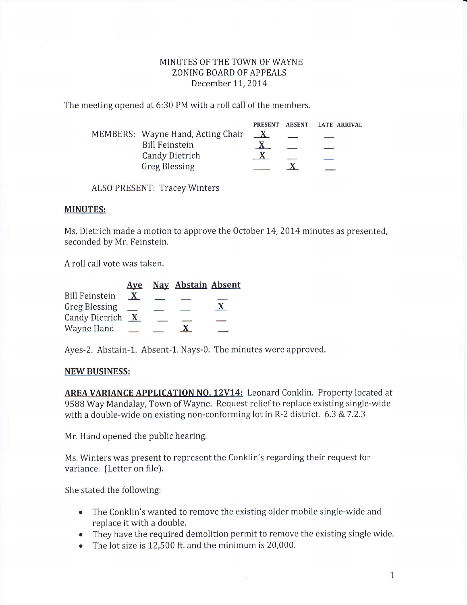## MINUTES OF THE TOWN OF WAYNE ZONING BOARD OF APPEALS December 11, 2014

The meeting opened at 6:30 PM with a roll call of the members.

|                                   | <b>PRESENT</b> | ABSENT LATE ARRIVAL |
|-----------------------------------|----------------|---------------------|
| MEMBERS: Wayne Hand, Acting Chair | $\mathbf{X}$   |                     |
| <b>Bill Feinstein</b>             |                |                     |
| <b>Candy Dietrich</b>             |                |                     |
| <b>Greg Blessing</b>              |                |                     |

ALS0 PRESENT: Tracey Winters

## MINUTES:

Ms. Dietrich made a motion to approve the October 14, 2014 minutes as presented, seconded by Mr. Feinstein.

A roll call vote was taken.

|                       | Ave          | <b>Nay Abstain Absent</b> |  |
|-----------------------|--------------|---------------------------|--|
| <b>Bill Feinstein</b> | $\mathbf{X}$ |                           |  |
| <b>Greg Blessing</b>  |              |                           |  |
| <b>Candy Dietrich</b> | $\mathbf{X}$ |                           |  |
| Wayne Hand            |              |                           |  |

Ayes-2. Abstain-L. Absent-1. Nays-0. The minutes were approved.

## NEW BUSINESS:

AREA VARIANCE APPLICATION NO. 12V14: Leonard Conklin. Property located at 95BB Way Mandalay, Town of Wayne. Request relief to replace existing single-wide with a double-wide on existing non-conforming lot in R-2 district.  $6.3 \times 7.2.3$ 

Mr. Hand opened the public hearing.

Ms. Winters was present to represent the Conklin's regarding their request for variance. (Letter on file).

She stated the following:

- . The Conklin's wanted to remove the existing older mobile single-wide and replace it with a double.
- They have the required demolition permit to remove the existing single wide.
- o The lot size is 12,500 ft. and the minimum is 20,000.